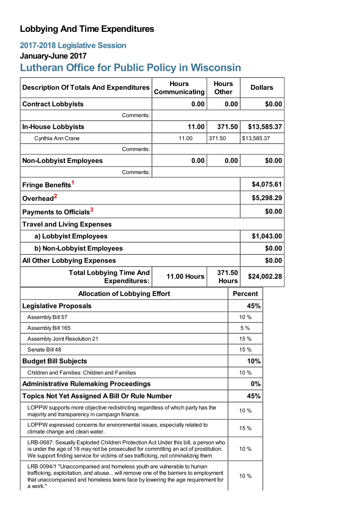# **Lobbying And Time Expenditures**

# **2017-2018 Legislative Session**

# **January-June 2017**

# **Lutheran Office for Public Policy in Wisconsin**

| <b>Description Of Totals And Expenditures</b>                                                                                                                                                                                                                 | <b>Hours</b><br>Communicating | <b>Hours</b><br><b>Dollars</b><br><b>Other</b> |        |                |             |  |
|---------------------------------------------------------------------------------------------------------------------------------------------------------------------------------------------------------------------------------------------------------------|-------------------------------|------------------------------------------------|--------|----------------|-------------|--|
| <b>Contract Lobbyists</b>                                                                                                                                                                                                                                     | 0.00                          | 0.00                                           |        | \$0.00         |             |  |
| Comments:                                                                                                                                                                                                                                                     |                               |                                                |        |                |             |  |
| <b>In-House Lobbyists</b>                                                                                                                                                                                                                                     | 11.00                         |                                                | 371.50 |                | \$13,585.37 |  |
| Cynthia Ann Crane                                                                                                                                                                                                                                             | 11.00                         | 371.50                                         |        | \$13,585.37    |             |  |
| Comments:                                                                                                                                                                                                                                                     |                               |                                                |        |                |             |  |
| <b>Non-Lobbyist Employees</b>                                                                                                                                                                                                                                 | 0.00                          | 0.00                                           |        | \$0.00         |             |  |
| Comments:                                                                                                                                                                                                                                                     |                               |                                                |        |                |             |  |
| Fringe Benefits <sup>1</sup>                                                                                                                                                                                                                                  |                               |                                                |        | \$4,075.61     |             |  |
| Overhead <sup>2</sup>                                                                                                                                                                                                                                         |                               |                                                |        | \$5,298.29     |             |  |
| Payments to Officials <sup>3</sup>                                                                                                                                                                                                                            |                               |                                                |        | \$0.00         |             |  |
| <b>Travel and Living Expenses</b>                                                                                                                                                                                                                             |                               |                                                |        |                |             |  |
| a) Lobbyist Employees                                                                                                                                                                                                                                         |                               |                                                |        | \$1,043.00     |             |  |
| b) Non-Lobbyist Employees                                                                                                                                                                                                                                     |                               |                                                |        | \$0.00         |             |  |
| <b>All Other Lobbying Expenses</b>                                                                                                                                                                                                                            |                               |                                                |        |                | \$0.00      |  |
| <b>Total Lobbying Time And</b><br><b>Expenditures:</b>                                                                                                                                                                                                        | <b>11.00 Hours</b>            | 371.50<br><b>Hours</b>                         |        | \$24,002.28    |             |  |
| <b>Allocation of Lobbying Effort</b>                                                                                                                                                                                                                          |                               |                                                |        | <b>Percent</b> |             |  |
| <b>Legislative Proposals</b>                                                                                                                                                                                                                                  |                               |                                                |        | 45%            |             |  |
| Assembly Bill 57                                                                                                                                                                                                                                              |                               |                                                | 10 %   |                |             |  |
| Assembly Bill 165                                                                                                                                                                                                                                             |                               |                                                |        | 5%             |             |  |
| Assembly Joint Resolution 21                                                                                                                                                                                                                                  |                               |                                                |        | 15 %           |             |  |
| Senate Bill 48                                                                                                                                                                                                                                                |                               |                                                |        | 15 %           |             |  |
| <b>Budget Bill Subjects</b>                                                                                                                                                                                                                                   |                               |                                                |        | 10%            |             |  |
| Children and Families: Children and Families                                                                                                                                                                                                                  |                               |                                                |        | 10 %           |             |  |
| <b>Administrative Rulemaking Proceedings</b>                                                                                                                                                                                                                  |                               |                                                |        | $0\%$          |             |  |
| <b>Topics Not Yet Assigned A Bill Or Rule Number</b>                                                                                                                                                                                                          |                               |                                                |        | 45%            |             |  |
| LOPPW supports more objective redistricting regardless of which party has the<br>majority and transparency in campaign finance.                                                                                                                               |                               |                                                |        | 10 %           |             |  |
| LOPPW expressed concerns for environmental issues, especially related to<br>climate change and clean water.                                                                                                                                                   |                               |                                                |        | 15 %           |             |  |
| LRB-0687: Sexually Exploded Children Protection Act Under this bill, a person who<br>is under the age of 18 may not be prosecuted for committing an act of prostitution.<br>We support finding service for victims of sex trafficking, not criminalizing them |                               |                                                |        | 10 %           |             |  |
| LRB 0094/1 "Unaccompanied and homeless youth are vulnerable to human<br>trafficking, exploitation, and abuse will remove one of the barriers to employment<br>that unaccompanied and homeless teens face by lowering the age requirement for<br>a work."      |                               |                                                |        | 10 %           |             |  |